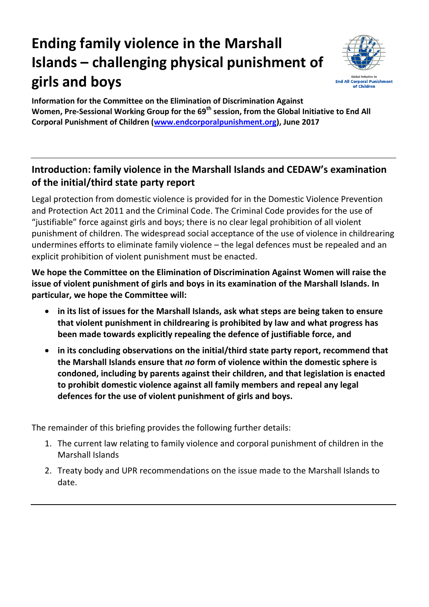## **Ending family violence in the Marshall Islands – challenging physical punishment of girls and boys**



**Information for the Committee on the Elimination of Discrimination Against Women, Pre-Sessional Working Group for the 69th session, from the Global Initiative to End All Corporal Punishment of Children [\(www.endcorporalpunishment.org\)](http://www.endcorporalpunishment.org/), June 2017**

## **Introduction: family violence in the Marshall Islands and CEDAW's examination of the initial/third state party report**

Legal protection from domestic violence is provided for in the Domestic Violence Prevention and Protection Act 2011 and the Criminal Code. The Criminal Code provides for the use of "justifiable" force against girls and boys; there is no clear legal prohibition of all violent punishment of children. The widespread social acceptance of the use of violence in childrearing undermines efforts to eliminate family violence – the legal defences must be repealed and an explicit prohibition of violent punishment must be enacted.

**We hope the Committee on the Elimination of Discrimination Against Women will raise the issue of violent punishment of girls and boys in its examination of the Marshall Islands. In particular, we hope the Committee will:**

- **in its list of issues for the Marshall Islands, ask what steps are being taken to ensure that violent punishment in childrearing is prohibited by law and what progress has been made towards explicitly repealing the defence of justifiable force, and**
- **in its concluding observations on the initial/third state party report, recommend that the Marshall Islands ensure that** *no* **form of violence within the domestic sphere is condoned, including by parents against their children, and that legislation is enacted to prohibit domestic violence against all family members and repeal any legal defences for the use of violent punishment of girls and boys.**

The remainder of this briefing provides the following further details:

- 1. The current law relating to family violence and corporal punishment of children in the Marshall Islands
- 2. Treaty body and UPR recommendations on the issue made to the Marshall Islands to date.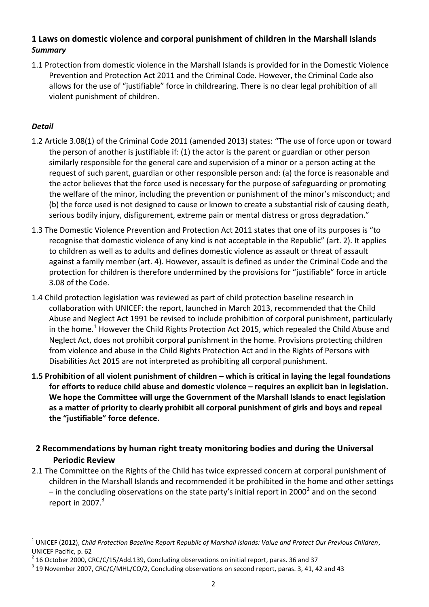## **1 Laws on domestic violence and corporal punishment of children in the Marshall Islands** *Summary*

1.1 Protection from domestic violence in the Marshall Islands is provided for in the Domestic Violence Prevention and Protection Act 2011 and the Criminal Code. However, the Criminal Code also allows for the use of "justifiable" force in childrearing. There is no clear legal prohibition of all violent punishment of children.

## *Detail*

 $\overline{a}$ 

- 1.2 Article 3.08(1) of the Criminal Code 2011 (amended 2013) states: "The use of force upon or toward the person of another is justifiable if: (1) the actor is the parent or guardian or other person similarly responsible for the general care and supervision of a minor or a person acting at the request of such parent, guardian or other responsible person and: (a) the force is reasonable and the actor believes that the force used is necessary for the purpose of safeguarding or promoting the welfare of the minor, including the prevention or punishment of the minor's misconduct; and (b) the force used is not designed to cause or known to create a substantial risk of causing death, serious bodily injury, disfigurement, extreme pain or mental distress or gross degradation."
- 1.3 The Domestic Violence Prevention and Protection Act 2011 states that one of its purposes is "to recognise that domestic violence of any kind is not acceptable in the Republic" (art. 2). It applies to children as well as to adults and defines domestic violence as assault or threat of assault against a family member (art. 4). However, assault is defined as under the Criminal Code and the protection for children is therefore undermined by the provisions for "justifiable" force in article 3.08 of the Code.
- 1.4 Child protection legislation was reviewed as part of child protection baseline research in collaboration with UNICEF: the report, launched in March 2013, recommended that the Child Abuse and Neglect Act 1991 be revised to include prohibition of corporal punishment, particularly in the home.<sup>1</sup> However the Child Rights Protection Act 2015, which repealed the Child Abuse and Neglect Act, does not prohibit corporal punishment in the home. Provisions protecting children from violence and abuse in the Child Rights Protection Act and in the Rights of Persons with Disabilities Act 2015 are not interpreted as prohibiting all corporal punishment.
- **1.5 Prohibition of all violent punishment of children – which is critical in laying the legal foundations for efforts to reduce child abuse and domestic violence – requires an explicit ban in legislation. We hope the Committee will urge the Government of the Marshall Islands to enact legislation as a matter of priority to clearly prohibit all corporal punishment of girls and boys and repeal the "justifiable" force defence.**
- **2 Recommendations by human right treaty monitoring bodies and during the Universal Periodic Review**
- 2.1 The Committee on the Rights of the Child has twice expressed concern at corporal punishment of children in the Marshall Islands and recommended it be prohibited in the home and other settings – in the concluding observations on the state party's initial report in 2000<sup>2</sup> and on the second report in 2007. $3$

<sup>1</sup> UNICEF (2012), *Child Protection Baseline Report Republic of Marshall Islands: Value and Protect Our Previous Children*, UNICEF Pacific, p. 62

 $^2$  16 October 2000, CRC/C/15/Add.139, Concluding observations on initial report, paras. 36 and 37

 $^3$  19 November 2007, CRC/C/MHL/CO/2, Concluding observations on second report, paras. 3, 41, 42 and 43